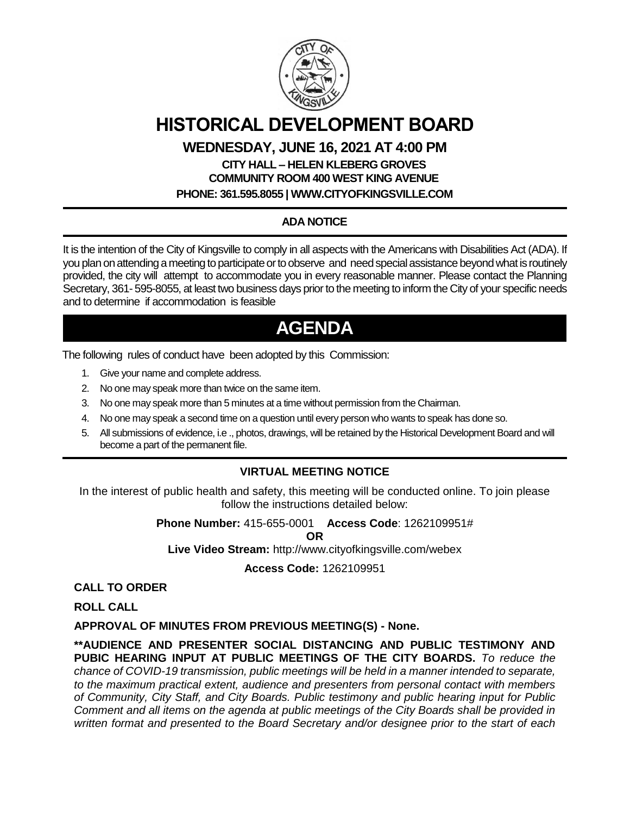

# **HISTORICAL DEVELOPMENT BOARD**

### **WEDNESDAY, JUNE 16, 2021 AT 4:00 PM**

## **CITY HALL – HELEN KLEBERG GROVES COMMUNITY ROOM 400 WEST KING AVENUE**

**PHONE: 361.595.8055 | WWW.CITYOFKINGSVILLE.COM**

### **ADA NOTICE**

It is the intention of the City of Kingsville to comply in all aspects with the Americans with Disabilities Act (ADA). If you plan on attending a meeting to participate or to observe and need special assistance beyond what is routinely provided, the city will attempt to accommodate you in every reasonable manner. Please contact the Planning Secretary, 361- 595-8055, at least two business days prior to the meeting to inform the City of your specific needs and to determine if accommodation is feasible

# **AGENDA**

The following rules of conduct have been adopted by this Commission:

- 1. Give your name and complete address.
- 2. No one may speak more than twice on the same item.
- 3. No one may speak more than 5 minutes at a time without permission from the Chairman.
- 4. No one may speak a second time on a question until every person who wants to speak has done so.
- 5. All submissions of evidence, i.e ., photos, drawings, will be retained by the Historical Development Board and will become a part of the permanent file.

#### **VIRTUAL MEETING NOTICE**

In the interest of public health and safety, this meeting will be conducted online. To join please follow the instructions detailed below:

**Phone Number:** 415-655-0001 **Access Code**: 1262109951#

**OR**

**Live Video Stream:** http://www.cityofkingsville.com/webex

**Access Code:** 1262109951

**CALL TO ORDER**

**ROLL CALL**

**APPROVAL OF MINUTES FROM PREVIOUS MEETING(S) - None.**

**\*\*AUDIENCE AND PRESENTER SOCIAL DISTANCING AND PUBLIC TESTIMONY AND PUBIC HEARING INPUT AT PUBLIC MEETINGS OF THE CITY BOARDS.** *To reduce the chance of COVID-19 transmission, public meetings will be held in a manner intended to separate, to the maximum practical extent, audience and presenters from personal contact with members of Community, City Staff, and City Boards. Public testimony and public hearing input for Public Comment and all items on the agenda at public meetings of the City Boards shall be provided in written format and presented to the Board Secretary and/or designee prior to the start of each*